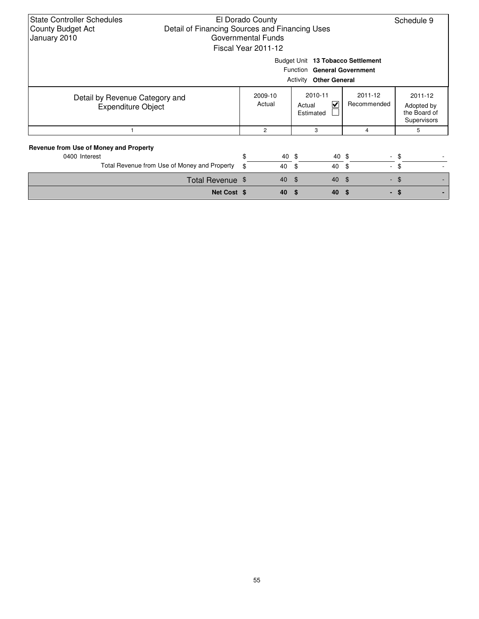| <b>State Controller Schedules</b><br>El Dorado County<br>Detail of Financing Sources and Financing Uses<br><b>County Budget Act</b><br>January 2010<br>Governmental Funds<br>Fiscal Year 2011-12 |    | Schedule 9        |       |                                     |                        |                                                      |  |  |  |
|--------------------------------------------------------------------------------------------------------------------------------------------------------------------------------------------------|----|-------------------|-------|-------------------------------------|------------------------|------------------------------------------------------|--|--|--|
| Budget Unit 13 Tobacco Settlement<br>Function General Government<br><b>Activity Other General</b>                                                                                                |    |                   |       |                                     |                        |                                                      |  |  |  |
| Detail by Revenue Category and<br><b>Expenditure Object</b>                                                                                                                                      |    | 2009-10<br>Actual |       | 2010-11<br>V<br>Actual<br>Estimated | 2011-12<br>Recommended | 2011-12<br>Adopted by<br>the Board of<br>Supervisors |  |  |  |
|                                                                                                                                                                                                  |    | $\overline{c}$    |       | 3                                   | 4                      | 5                                                    |  |  |  |
| Revenue from Use of Money and Property<br>0400 Interest                                                                                                                                          | \$ |                   | 40 \$ | 40 \$                               |                        | - \$                                                 |  |  |  |
| Total Revenue from Use of Money and Property                                                                                                                                                     | \$ |                   | 40    | 40<br>- \$                          | - \$                   | $-$ \$                                               |  |  |  |
| Total Revenue \$                                                                                                                                                                                 |    |                   | 40    | 40<br>්                             | $\sqrt{3}$             | $-$ \$                                               |  |  |  |
| Net Cost \$                                                                                                                                                                                      |    |                   | 40    | 40<br>S.                            | \$.                    | - \$                                                 |  |  |  |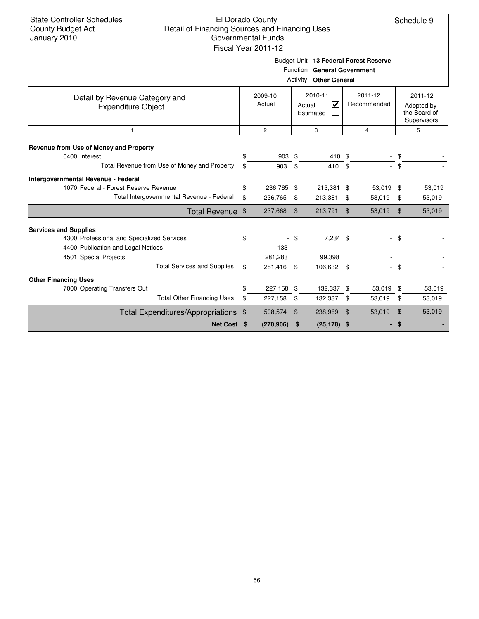State Controller Schedules County Budget Act January 2010

## El Dorado County Detail of Financing Sources and Financing Uses Governmental Funds Fiscal Year 2011-12

Schedule 9

Budget Unit **13 Federal Forest Reserve**

|                                                             |                   |                | Function General Government<br><b>Activity Other General</b> |                |                        |                            |                                                      |
|-------------------------------------------------------------|-------------------|----------------|--------------------------------------------------------------|----------------|------------------------|----------------------------|------------------------------------------------------|
| Detail by Revenue Category and<br><b>Expenditure Object</b> | 2009-10<br>Actual |                | 2010-11<br>$\overline{\mathsf{v}}$<br>Actual<br>Estimated    |                | 2011-12<br>Recommended |                            | 2011-12<br>Adopted by<br>the Board of<br>Supervisors |
| $\mathbf{1}$                                                | $\overline{c}$    |                | 3                                                            |                | 4                      |                            | 5                                                    |
| Revenue from Use of Money and Property<br>0400 Interest     | \$<br>903 \$      |                | 410 \$                                                       |                |                        | \$                         |                                                      |
| Total Revenue from Use of Money and Property                | \$<br>903         | \$             | 410 \$                                                       |                |                        | \$                         |                                                      |
| Intergovernmental Revenue - Federal                         |                   |                |                                                              |                |                        |                            |                                                      |
| 1070 Federal - Forest Reserve Revenue                       | \$<br>236,765 \$  |                | 213,381 \$                                                   |                | 53,019                 | \$                         | 53,019                                               |
| Total Intergovernmental Revenue - Federal                   | \$<br>236,765     | \$             | 213,381                                                      | \$             | 53,019                 | \$                         | 53,019                                               |
| Total Revenue \$                                            | 237,668           | $\mathfrak{L}$ | 213,791                                                      | $\mathfrak{L}$ | 53,019                 | $\boldsymbol{\mathsf{\$}}$ | 53,019                                               |
| <b>Services and Supplies</b>                                |                   |                |                                                              |                |                        |                            |                                                      |
| 4300 Professional and Specialized Services                  | \$                | - \$           | 7,234 \$                                                     |                |                        | - \$                       |                                                      |
| 4400 Publication and Legal Notices                          | 133               |                |                                                              |                |                        |                            |                                                      |
| 4501 Special Projects                                       | 281,283           |                | 99,398                                                       |                |                        |                            |                                                      |
| <b>Total Services and Supplies</b>                          | \$<br>281,416 \$  |                | 106,632 \$                                                   |                |                        | \$                         |                                                      |
| <b>Other Financing Uses</b>                                 |                   |                |                                                              |                |                        |                            |                                                      |
| 7000 Operating Transfers Out                                | \$<br>227,158 \$  |                | 132,337 \$                                                   |                | 53,019                 | -\$                        | 53,019                                               |
| <b>Total Other Financing Uses</b>                           | \$<br>227,158     | \$             | 132,337                                                      | \$             | 53,019                 | \$                         | 53,019                                               |
| Total Expenditures/Appropriations \$                        | 508,574           | \$             | 238,969                                                      | $\mathfrak{F}$ | 53,019                 | $\boldsymbol{\mathsf{S}}$  | 53,019                                               |
| Net Cost \$                                                 | (270, 906)        | \$             | $(25, 178)$ \$                                               |                |                        | \$.                        |                                                      |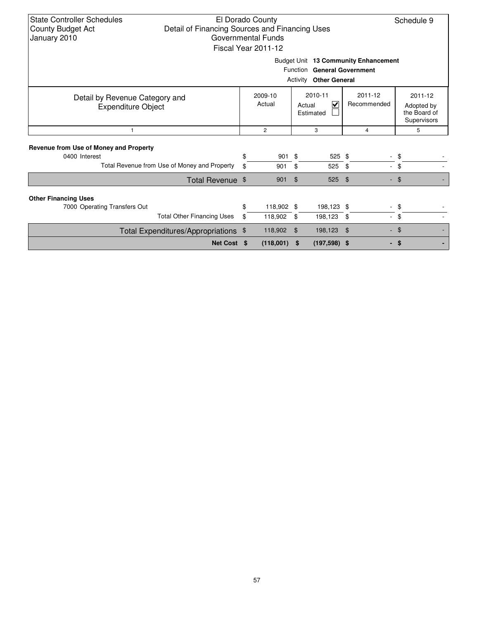| <b>State Controller Schedules</b><br>El Dorado County<br>Detail of Financing Sources and Financing Uses<br><b>County Budget Act</b><br>Governmental Funds<br>January 2010<br>Fiscal Year 2011-12 |          |                       |                |                                     |                            |                                                      |  |  |  |
|--------------------------------------------------------------------------------------------------------------------------------------------------------------------------------------------------|----------|-----------------------|----------------|-------------------------------------|----------------------------|------------------------------------------------------|--|--|--|
| Budget Unit 13 Community Enhancement<br>Function General Government<br>Activity<br><b>Other General</b>                                                                                          |          |                       |                |                                     |                            |                                                      |  |  |  |
| Detail by Revenue Category and<br><b>Expenditure Object</b>                                                                                                                                      |          | 2009-10<br>Actual     |                | 2010-11<br>⊽<br>Actual<br>Estimated | $2011 - 12$<br>Recommended | 2011-12<br>Adopted by<br>the Board of<br>Supervisors |  |  |  |
| $\mathbf{1}$                                                                                                                                                                                     |          | $\overline{2}$        |                | 3                                   | 4                          | 5                                                    |  |  |  |
| Revenue from Use of Money and Property<br>0400 Interest<br>Total Revenue from Use of Money and Property                                                                                          | \$<br>\$ | 901<br>901            | -\$<br>\$      | 525 \$<br>525                       | \$<br>÷.                   | \$<br>\$                                             |  |  |  |
| Total Revenue \$                                                                                                                                                                                 |          | 901                   | $\mathfrak{L}$ | 525                                 | \$                         | $-$ \$                                               |  |  |  |
| <b>Other Financing Uses</b><br>7000 Operating Transfers Out<br><b>Total Other Financing Uses</b>                                                                                                 | \$<br>\$ | 118,902 \$<br>118,902 | \$             | 198,123 \$<br>198,123               | - \$<br>$\sim$             | \$<br>\$                                             |  |  |  |
| Total Expenditures/Appropriations \$                                                                                                                                                             |          | 118,902               | \$             | 198,123                             | \$                         | \$<br>٠                                              |  |  |  |
| Net Cost \$                                                                                                                                                                                      |          | $(118,001)$ \$        |                | $(197,598)$ \$                      |                            | \$<br>. .                                            |  |  |  |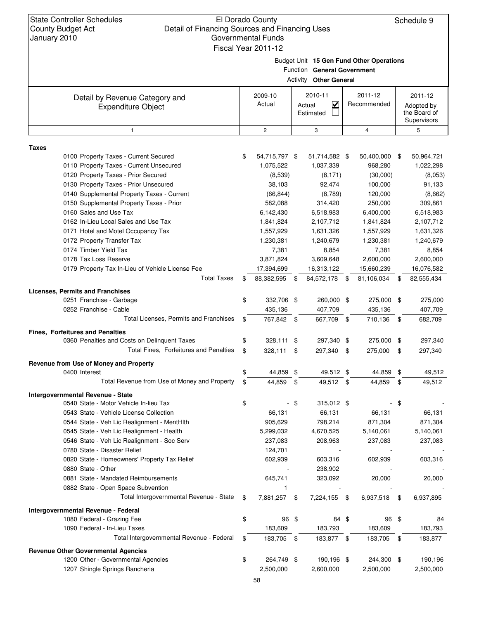State Controller Schedules County Budget Act January 2010

#### El Dorado County Detail of Financing Sources and Financing Uses Governmental Funds Fiscal Year 2011-12

Schedule 9

Budget Unit **15 Gen Fund Other Operations**

Function **General Government**

|                                                             |    |                   |      | $\frac{1}{2}$ unchord general government<br><b>Activity Other General</b> |      |                        |      |                                                      |
|-------------------------------------------------------------|----|-------------------|------|---------------------------------------------------------------------------|------|------------------------|------|------------------------------------------------------|
| Detail by Revenue Category and<br><b>Expenditure Object</b> |    | 2009-10<br>Actual |      | 2010-11<br>$\checkmark$<br>Actual<br>Estimated                            |      | 2011-12<br>Recommended |      | 2011-12<br>Adopted by<br>the Board of<br>Supervisors |
| $\mathbf{1}$                                                |    | $\mathbf{2}$      |      | 3                                                                         |      | $\overline{4}$         |      | 5                                                    |
| <b>Taxes</b>                                                |    |                   |      |                                                                           |      |                        |      |                                                      |
| 0100 Property Taxes - Current Secured                       | \$ | 54,715,797 \$     |      | 51,714,582 \$                                                             |      | 50,400,000 \$          |      | 50,964,721                                           |
| 0110 Property Taxes - Current Unsecured                     |    | 1,075,522         |      | 1,037,339                                                                 |      | 968,280                |      | 1,022,298                                            |
| 0120 Property Taxes - Prior Secured                         |    | (8,539)           |      | (8, 171)                                                                  |      | (30,000)               |      | (8,053)                                              |
| 0130 Property Taxes - Prior Unsecured                       |    | 38,103            |      | 92,474                                                                    |      | 100,000                |      | 91,133                                               |
| 0140 Supplemental Property Taxes - Current                  |    | (66, 844)         |      | (8,789)                                                                   |      | 120,000                |      | (8,662)                                              |
| 0150 Supplemental Property Taxes - Prior                    |    | 582,088           |      | 314,420                                                                   |      | 250,000                |      | 309,861                                              |
| 0160 Sales and Use Tax                                      |    | 6,142,430         |      | 6,518,983                                                                 |      | 6,400,000              |      | 6,518,983                                            |
| 0162 In-Lieu Local Sales and Use Tax                        |    | 1,841,824         |      | 2,107,712                                                                 |      | 1,841,824              |      | 2,107,712                                            |
| 0171 Hotel and Motel Occupancy Tax                          |    | 1,557,929         |      | 1,631,326                                                                 |      | 1,557,929              |      | 1,631,326                                            |
| 0172 Property Transfer Tax                                  |    | 1,230,381         |      | 1,240,679                                                                 |      | 1,230,381              |      | 1,240,679                                            |
| 0174 Timber Yield Tax                                       |    | 7,381             |      | 8,854                                                                     |      | 7,381                  |      | 8,854                                                |
| 0178 Tax Loss Reserve                                       |    | 3,871,824         |      | 3,609,648                                                                 |      | 2,600,000              |      | 2,600,000                                            |
| 0179 Property Tax In-Lieu of Vehicle License Fee            |    | 17,394,699        |      | 16,313,122                                                                |      | 15,660,239             |      | 16,076,582                                           |
| <b>Total Taxes</b>                                          | \$ | 88,382,595        | - \$ | 84,572,178 \$                                                             |      | 81,106,034             | - \$ | 82,555,434                                           |
|                                                             |    |                   |      |                                                                           |      |                        |      |                                                      |
| <b>Licenses, Permits and Franchises</b>                     |    |                   |      |                                                                           |      |                        |      |                                                      |
| 0251 Franchise - Garbage                                    | \$ | 332,706 \$        |      | 260,000 \$                                                                |      | 275,000 \$             |      | 275,000                                              |
| 0252 Franchise - Cable                                      |    | 435,136           |      | 407,709                                                                   |      | 435,136                |      | 407,709                                              |
| Total Licenses, Permits and Franchises                      | \$ | 767,842 \$        |      | 667,709 \$                                                                |      | 710,136                | -\$  | 682,709                                              |
| <b>Fines, Forfeitures and Penalties</b>                     |    |                   |      |                                                                           |      |                        |      |                                                      |
| 0360 Penalties and Costs on Delinquent Taxes                | S  | 328,111           | \$   | 297,340                                                                   | \$   | 275,000                | \$   | 297,340                                              |
| Total Fines, Forfeitures and Penalties                      | \$ | 328,111           | \$   | 297,340                                                                   | -\$  | 275,000                | \$   | 297,340                                              |
| Revenue from Use of Money and Property                      |    |                   |      |                                                                           |      |                        |      |                                                      |
| 0400 Interest                                               | \$ | 44,859            | \$   | 49,512 \$                                                                 |      | 44,859                 | \$   | 49,512                                               |
| Total Revenue from Use of Money and Property                | \$ | 44,859            | - \$ | 49,512 \$                                                                 |      | 44,859                 | \$   | 49,512                                               |
| Intergovernmental Revenue - State                           |    |                   |      |                                                                           |      |                        |      |                                                      |
| 0540 State - Motor Vehicle In-lieu Tax                      | \$ |                   | - \$ | $315,012$ \$                                                              |      |                        | -\$  |                                                      |
| 0543 State - Vehicle License Collection                     |    | 66,131            |      | 66,131                                                                    |      | 66,131                 |      | 66,131                                               |
| 0544 State - Veh Lic Realignment - MentHlth                 |    | 905,629           |      | 798,214                                                                   |      | 871,304                |      | 871,304                                              |
| 0545 State - Veh Lic Realignment - Health                   |    | 5,299,032         |      | 4,670,525                                                                 |      | 5,140,061              |      | 5,140,061                                            |
| 0546 State - Veh Lic Realignment - Soc Serv                 |    | 237,083           |      | 208,963                                                                   |      | 237,083                |      | 237,083                                              |
| 0780 State - Disaster Relief                                |    | 124,701           |      |                                                                           |      |                        |      |                                                      |
| 0820 State - Homeowners' Property Tax Relief                |    | 602,939           |      | 603,316                                                                   |      | 602,939                |      | 603,316                                              |
| 0880 State - Other                                          |    |                   |      | 238,902                                                                   |      |                        |      |                                                      |
| 0881 State - Mandated Reimbursements                        |    | 645,741           |      | 323,092                                                                   |      | 20,000                 |      | 20,000                                               |
| 0882 State - Open Space Subvention                          |    |                   |      |                                                                           |      |                        |      |                                                      |
| Total Intergovernmental Revenue - State                     | \$ | 7,881,257         | \$   | 7,224,155                                                                 | - \$ | 6,937,518              | -\$  | 6,937,895                                            |
| Intergovernmental Revenue - Federal                         |    |                   |      |                                                                           |      |                        |      |                                                      |
| 1080 Federal - Grazing Fee                                  | \$ | 96 \$             |      | 84 \$                                                                     |      | 96                     | \$   | 84                                                   |
| 1090 Federal - In-Lieu Taxes                                |    | 183,609           |      | 183,793                                                                   |      | 183,609                |      | 183,793                                              |
| Total Intergovernmental Revenue - Federal                   | \$ | 183,705 \$        |      | 183,877 \$                                                                |      | 183,705 \$             |      | 183,877                                              |
|                                                             |    |                   |      |                                                                           |      |                        |      |                                                      |
| <b>Revenue Other Governmental Agencies</b>                  | \$ |                   |      |                                                                           |      |                        |      |                                                      |
| 1200 Other - Governmental Agencies                          |    | 264,749 \$        |      | 190,196 \$                                                                |      | 244,300 \$             |      | 190,196                                              |
| 1207 Shingle Springs Rancheria                              |    | 2,500,000         |      | 2,600,000                                                                 |      | 2,500,000              |      | 2,500,000                                            |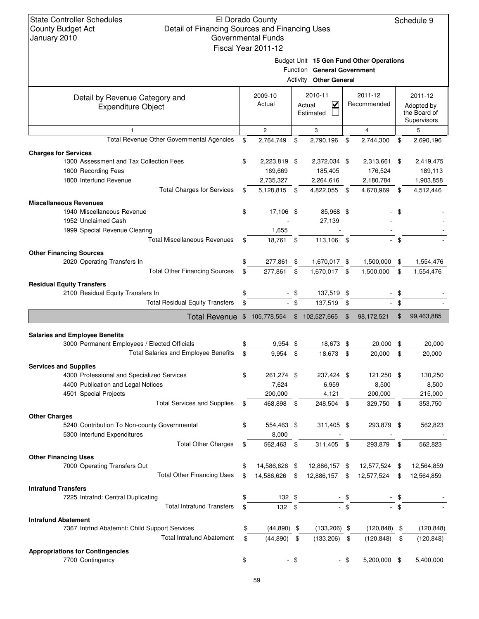## El Dorado County Detail of Financing Sources and Financing Uses Governmental Funds Fiscal Year 2011-12

Schedule 9

Budget Unit **15 Gen Fund Other Operations**

|                                                                        |                     |        | Function General Government<br><b>Activity Other General</b> |                |                             |     |                                                      |  |
|------------------------------------------------------------------------|---------------------|--------|--------------------------------------------------------------|----------------|-----------------------------|-----|------------------------------------------------------|--|
| Detail by Revenue Category and<br><b>Expenditure Object</b>            | 2009-10<br>Actual   |        | 2010-11<br>$\overline{\mathbf{v}}$<br>Actual<br>Estimated    |                | 2011-12<br>Recommended      |     | 2011-12<br>Adopted by<br>the Board of<br>Supervisors |  |
| $\mathbf{1}$                                                           | $\mathbf{2}$        |        | 3                                                            |                | $\overline{4}$              |     | 5                                                    |  |
| Total Revenue Other Governmental Agencies                              | \$<br>2,764,749     | \$     | 2,790,196                                                    | \$             | 2,744,300                   | \$  | 2,690,196                                            |  |
| <b>Charges for Services</b>                                            |                     |        |                                                              |                |                             |     |                                                      |  |
| 1300 Assessment and Tax Collection Fees                                | \$<br>2,223,819 \$  |        | 2,372,034 \$                                                 |                | 2,313,661                   | \$  | 2,419,475                                            |  |
| 1600 Recording Fees                                                    | 169,669             |        | 185,405                                                      |                | 176,524                     |     | 189,113                                              |  |
| 1800 Interfund Revenue                                                 | 2,735,327           |        | 2,264,616                                                    |                | 2,180,784                   |     | 1,903,858                                            |  |
| <b>Total Charges for Services</b>                                      | \$<br>5,128,815     | -\$    | 4,822,055                                                    | \$             | 4,670,969                   | \$  | 4,512,446                                            |  |
| <b>Miscellaneous Revenues</b>                                          |                     |        |                                                              |                |                             |     |                                                      |  |
| 1940 Miscellaneous Revenue                                             | \$<br>17,106 \$     |        | 85,968 \$                                                    |                |                             | \$  |                                                      |  |
| 1952 Unclaimed Cash                                                    |                     |        | 27,139                                                       |                |                             |     |                                                      |  |
| 1999 Special Revenue Clearing                                          | 1,655               |        |                                                              |                |                             |     |                                                      |  |
| <b>Total Miscellaneous Revenues</b>                                    | \$<br>18,761 \$     |        | 113,106 \$                                                   |                | $\mathcal{L}_{\mathcal{A}}$ | \$  |                                                      |  |
|                                                                        |                     |        |                                                              |                |                             |     |                                                      |  |
| <b>Other Financing Sources</b><br>2020 Operating Transfers In          | 277,861 \$          |        |                                                              |                | 1,500,000                   | \$  |                                                      |  |
|                                                                        | \$                  |        | 1,670,017 \$                                                 |                |                             |     | 1,554,476                                            |  |
| <b>Total Other Financing Sources</b>                                   | \$<br>277,861       | \$     | 1,670,017                                                    | \$             | 1,500,000                   | \$  | 1,554,476                                            |  |
| <b>Residual Equity Transfers</b>                                       |                     |        |                                                              |                |                             |     |                                                      |  |
| 2100 Residual Equity Transfers In                                      | \$                  | - \$   | 137,519 \$                                                   |                |                             | \$  |                                                      |  |
| <b>Total Residual Equity Transfers</b>                                 | \$                  | $-$ \$ | 137,519                                                      | \$             | $\overline{\phantom{a}}$    | \$  |                                                      |  |
| <b>Total Revenue</b>                                                   | \$<br>105,778,554   |        | \$102,527,665                                                | $\mathfrak{F}$ | 98,172,521                  | \$  | 99,463,885                                           |  |
|                                                                        |                     |        |                                                              |                |                             |     |                                                      |  |
| <b>Salaries and Employee Benefits</b>                                  |                     |        |                                                              |                |                             |     |                                                      |  |
| 3000 Permanent Employees / Elected Officials                           | \$<br>$9,954$ \$    |        | 18,673 \$                                                    |                | 20,000                      | \$  | 20,000                                               |  |
| <b>Total Salaries and Employee Benefits</b>                            | \$<br>9,954         | \$     | 18,673                                                       | \$             | 20,000                      | \$  | 20,000                                               |  |
| <b>Services and Supplies</b>                                           |                     |        |                                                              |                |                             |     |                                                      |  |
| 4300 Professional and Specialized Services                             | \$<br>261,274 \$    |        | 237,424 \$                                                   |                | 121,250                     | \$  | 130,250                                              |  |
| 4400 Publication and Legal Notices                                     | 7,624               |        | 6,959                                                        |                | 8,500                       |     | 8,500                                                |  |
| 4501 Special Projects                                                  | 200,000             |        | 4,121                                                        |                | 200,000                     |     | 215,000                                              |  |
| <b>Total Services and Supplies</b>                                     | \$<br>468,898       | \$     | 248,504                                                      | \$             | 329,750                     | \$  | 353,750                                              |  |
| <b>Other Charges</b>                                                   |                     |        |                                                              |                |                             |     |                                                      |  |
| 5240 Contribution To Non-county Governmental                           | \$<br>554,463 \$    |        | 311,405 \$                                                   |                | 293,879                     | \$  | 562,823                                              |  |
| 5300 Interfund Expenditures                                            | 8,000               |        |                                                              |                |                             |     |                                                      |  |
| <b>Total Other Charges</b>                                             | \$<br>562,463       | \$     | 311,405                                                      | - \$           | 293,879                     | -\$ | 562,823                                              |  |
| <b>Other Financing Uses</b>                                            |                     |        |                                                              |                |                             |     |                                                      |  |
| 7000 Operating Transfers Out                                           | \$<br>14,586,626 \$ |        | 12,886,157 \$                                                |                | 12,577,524 \$               |     | 12,564,859                                           |  |
| <b>Total Other Financing Uses</b>                                      | \$<br>14,586,626 \$ |        | 12,886,157                                                   | \$             | 12,577,524                  | \$  | 12,564,859                                           |  |
|                                                                        |                     |        |                                                              |                |                             |     |                                                      |  |
| <b>Intrafund Transfers</b>                                             |                     |        |                                                              |                |                             |     |                                                      |  |
| 7225 Intrafnd: Central Duplicating<br><b>Total Intrafund Transfers</b> | \$<br>132 \$        |        |                                                              | \$             |                             | \$  |                                                      |  |
|                                                                        | \$<br>$132$ \$      |        |                                                              | \$             |                             | \$  |                                                      |  |
| <b>Intrafund Abatement</b>                                             |                     |        |                                                              |                |                             |     |                                                      |  |
| 7367 Intrfnd Abatemnt: Child Support Services                          | \$<br>$(44,890)$ \$ |        | $(133,206)$ \$                                               |                | (120, 848)                  | \$  | (120, 848)                                           |  |
| <b>Total Intrafund Abatement</b>                                       | \$<br>(44,890)      | \$     | $(133,206)$ \$                                               |                | (120, 848)                  | \$  | (120, 848)                                           |  |
| <b>Appropriations for Contingencies</b>                                |                     |        |                                                              |                |                             |     |                                                      |  |
| 7700 Contingency                                                       | \$                  | - \$   |                                                              | - \$           | 5,200,000 \$                |     | 5,400,000                                            |  |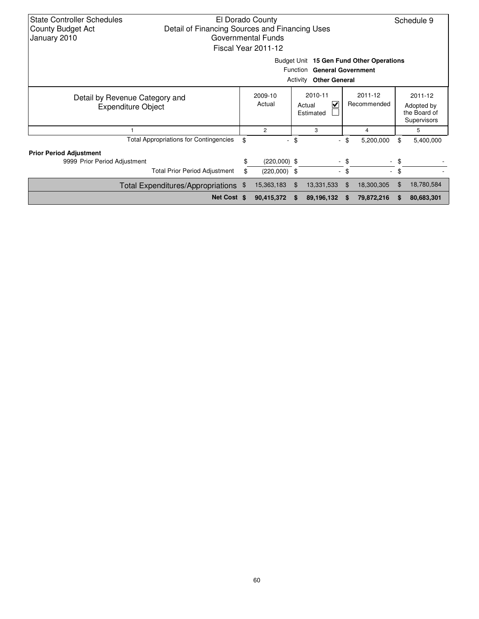| <b>State Controller Schedules</b><br>El Dorado County                      |                                               |    |                          |             |                                          |             |            | Schedule 9   |            |
|----------------------------------------------------------------------------|-----------------------------------------------|----|--------------------------|-------------|------------------------------------------|-------------|------------|--------------|------------|
| Detail of Financing Sources and Financing Uses<br><b>County Budget Act</b> |                                               |    |                          |             |                                          |             |            |              |            |
| January 2010<br>Governmental Funds                                         |                                               |    |                          |             |                                          |             |            |              |            |
|                                                                            |                                               |    | Fiscal Year 2011-12      |             |                                          |             |            |              |            |
|                                                                            |                                               |    |                          |             |                                          |             |            |              |            |
|                                                                            |                                               |    |                          |             | Budget Unit 15 Gen Fund Other Operations |             |            |              |            |
|                                                                            |                                               |    |                          |             | Function General Government              |             |            |              |            |
|                                                                            |                                               |    |                          | Activity    | <b>Other General</b>                     |             |            |              |            |
|                                                                            |                                               |    |                          |             |                                          |             |            |              |            |
| Detail by Revenue Category and<br><b>Expenditure Object</b>                |                                               |    | 2009-10                  | 2010-11     |                                          |             | 2011-12    |              | 2011-12    |
|                                                                            |                                               |    | Actual                   | ⊽<br>Actual |                                          | Recommended |            | Adopted by   |            |
|                                                                            |                                               |    |                          | Estimated   |                                          |             |            | the Board of |            |
|                                                                            |                                               |    |                          |             |                                          |             |            | Supervisors  |            |
|                                                                            |                                               |    | $\overline{2}$           | 3           |                                          | 4           |            | 5            |            |
|                                                                            | <b>Total Appropriations for Contingencies</b> | \$ | $\overline{\phantom{a}}$ | \$          | $\overline{\phantom{0}}$                 | \$          | 5,200,000  | \$           | 5,400,000  |
| <b>Prior Period Adjustment</b>                                             |                                               |    |                          |             |                                          |             |            |              |            |
| 9999 Prior Period Adjustment                                               |                                               | \$ | $(220,000)$ \$           |             |                                          | - \$        |            | - \$         |            |
|                                                                            | <b>Total Prior Period Adjustment</b>          | \$ | $(220,000)$ \$           |             | $\sim$                                   | - \$        |            | - \$         |            |
| Total Expenditures/Appropriations \$                                       |                                               |    | 15,363,183               | \$.         | 13,331,533                               | \$.         | 18,300,305 | \$           | 18,780,584 |
|                                                                            | Net Cost \$                                   |    | 90,415,372               | S           | 89,196,132                               | \$          | 79,872,216 | S            | 80,683,301 |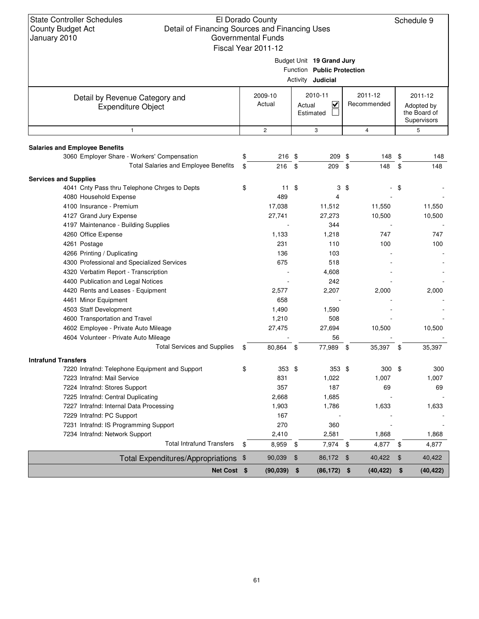State Controller Schedules County Budget Act January 2010

# El Dorado County Detail of Financing Sources and Financing Uses Governmental Funds

Schedule 9

| Fiscal Year 2011-12                                                                 |          |                        |                                                           |    |                        |               |                                                      |  |  |  |  |
|-------------------------------------------------------------------------------------|----------|------------------------|-----------------------------------------------------------|----|------------------------|---------------|------------------------------------------------------|--|--|--|--|
| Budget Unit 19 Grand Jury<br>Function Public Protection<br>Activity <b>Judicial</b> |          |                        |                                                           |    |                        |               |                                                      |  |  |  |  |
| Detail by Revenue Category and<br><b>Expenditure Object</b>                         |          | 2009-10<br>Actual      | 2010-11<br>$\overline{\mathbf{v}}$<br>Actual<br>Estimated |    | 2011-12<br>Recommended |               | 2011-12<br>Adopted by<br>the Board of<br>Supervisors |  |  |  |  |
| 1                                                                                   |          | $\mathbf{2}$           | 3                                                         |    | $\overline{4}$         |               | 5                                                    |  |  |  |  |
| <b>Salaries and Employee Benefits</b>                                               |          | $216$ \$               | 209 \$                                                    |    |                        |               |                                                      |  |  |  |  |
| 3060 Employer Share - Workers' Compensation<br>Total Salaries and Employee Benefits | \$<br>\$ | 216                    | 209 \$<br>- \$                                            |    | 148 \$<br>148          | \$            | 148<br>148                                           |  |  |  |  |
|                                                                                     |          |                        |                                                           |    |                        |               |                                                      |  |  |  |  |
| <b>Services and Supplies</b>                                                        |          |                        |                                                           |    |                        |               |                                                      |  |  |  |  |
| 4041 Cnty Pass thru Telephone Chrges to Depts                                       | \$       | $11 \text{ } $$<br>489 | 3                                                         | \$ |                        | \$            |                                                      |  |  |  |  |
| 4080 Household Expense                                                              |          |                        | 4                                                         |    |                        |               |                                                      |  |  |  |  |
| 4100 Insurance - Premium<br>4127 Grand Jury Expense                                 |          | 17,038<br>27,741       | 11,512<br>27,273                                          |    | 11,550<br>10,500       |               | 11,550<br>10,500                                     |  |  |  |  |
| 4197 Maintenance - Building Supplies                                                |          |                        | 344                                                       |    |                        |               |                                                      |  |  |  |  |
| 4260 Office Expense                                                                 |          | 1,133                  | 1,218                                                     |    | 747                    |               | 747                                                  |  |  |  |  |
| 4261 Postage                                                                        |          | 231                    | 110                                                       |    | 100                    |               | 100                                                  |  |  |  |  |
| 4266 Printing / Duplicating                                                         |          | 136                    | 103                                                       |    |                        |               |                                                      |  |  |  |  |
| 4300 Professional and Specialized Services                                          |          | 675                    | 518                                                       |    |                        |               |                                                      |  |  |  |  |
| 4320 Verbatim Report - Transcription                                                |          |                        | 4,608                                                     |    |                        |               |                                                      |  |  |  |  |
| 4400 Publication and Legal Notices                                                  |          |                        | 242                                                       |    |                        |               |                                                      |  |  |  |  |
| 4420 Rents and Leases - Equipment                                                   |          | 2,577                  | 2,207                                                     |    | 2,000                  |               | 2,000                                                |  |  |  |  |
| 4461 Minor Equipment                                                                |          | 658                    |                                                           |    |                        |               |                                                      |  |  |  |  |
| 4503 Staff Development                                                              |          | 1,490                  | 1,590                                                     |    |                        |               |                                                      |  |  |  |  |
| 4600 Transportation and Travel                                                      |          | 1,210                  | 508                                                       |    |                        |               |                                                      |  |  |  |  |
| 4602 Employee - Private Auto Mileage                                                |          | 27,475                 | 27,694                                                    |    | 10,500                 |               | 10,500                                               |  |  |  |  |
| 4604 Volunteer - Private Auto Mileage                                               |          |                        | 56                                                        |    |                        |               |                                                      |  |  |  |  |
| <b>Total Services and Supplies</b>                                                  | \$       | 80,864 \$              | 77,989 \$                                                 |    | 35,397 \$              |               | 35,397                                               |  |  |  |  |
| <b>Intrafund Transfers</b>                                                          |          |                        |                                                           |    |                        |               |                                                      |  |  |  |  |
| 7220 Intrafnd: Telephone Equipment and Support                                      | \$       | $353$ \$               | $353$ \$                                                  |    | $300*$                 |               | 300                                                  |  |  |  |  |
| 7223 Intrafnd: Mail Service                                                         |          | 831                    | 1,022                                                     |    | 1,007                  |               | 1,007                                                |  |  |  |  |
| 7224 Intrafnd: Stores Support                                                       |          | 357                    | 187                                                       |    | 69                     |               | 69                                                   |  |  |  |  |
| 7225 Intrafnd: Central Duplicating                                                  |          | 2,668                  | 1,685                                                     |    |                        |               |                                                      |  |  |  |  |
| 7227 Intrafnd: Internal Data Processing                                             |          | 1,903                  | 1,786                                                     |    | 1,633                  |               | 1,633                                                |  |  |  |  |
| 7229 Intrafnd: PC Support                                                           |          | 167                    |                                                           |    |                        |               |                                                      |  |  |  |  |
| 7231 Intrafnd: IS Programming Support                                               |          | 270                    | 360                                                       |    |                        |               |                                                      |  |  |  |  |
| 7234 Intrafnd: Network Support                                                      |          | 2,410                  | 2,581                                                     |    | 1,868                  |               | 1,868                                                |  |  |  |  |
| <b>Total Intrafund Transfers</b>                                                    | \$       | 8,959                  | 7,974 \$<br>\$                                            |    | 4,877                  | \$            | 4,877                                                |  |  |  |  |
| Total Expenditures/Appropriations \$                                                |          | 90,039                 | $\,$<br>86,172 \$                                         |    | 40,422                 | \$            | 40,422                                               |  |  |  |  |
| Net Cost \$                                                                         |          | $(90,039)$ \$          | $(86, 172)$ \$                                            |    | (40, 422)              | $\frac{1}{2}$ | (40, 422)                                            |  |  |  |  |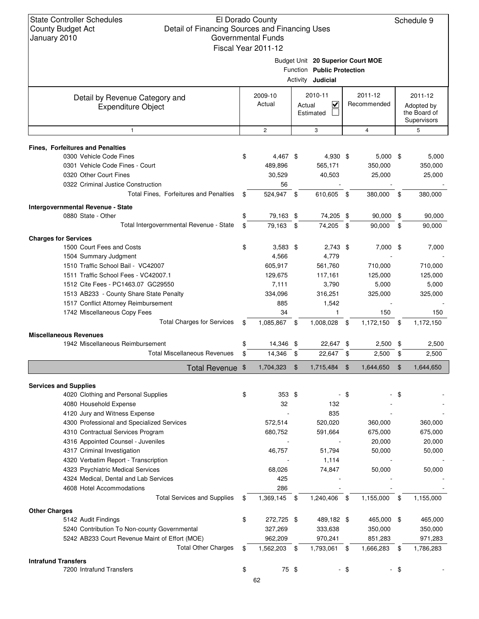## El Dorado County Detail of Financing Sources and Financing Uses Governmental Funds Fiscal Year 2011-12

Budget Unit **20 Superior Court MOE**

|                                                                     |                    |                    | Function Public Protection |     |                |      |              |
|---------------------------------------------------------------------|--------------------|--------------------|----------------------------|-----|----------------|------|--------------|
|                                                                     |                    |                    | Activity <b>Judicial</b>   |     |                |      |              |
| Detail by Revenue Category and                                      | 2009-10            | 2010-11<br>2011-12 |                            |     |                |      | 2011-12      |
| <b>Expenditure Object</b>                                           | Actual             |                    | V<br>Actual                |     | Recommended    |      | Adopted by   |
|                                                                     |                    |                    | Estimated                  |     |                |      | the Board of |
|                                                                     |                    |                    |                            |     |                |      | Supervisors  |
| $\mathbf{1}$                                                        | $\overline{2}$     |                    | 3                          |     | $\overline{4}$ |      | 5            |
| <b>Fines, Forfeitures and Penalties</b>                             |                    |                    |                            |     |                |      |              |
| 0300 Vehicle Code Fines                                             | \$<br>4,467 \$     |                    | 4,930 \$                   |     | $5,000$ \$     |      | 5,000        |
| 0301 Vehicle Code Fines - Court                                     | 489,896            |                    | 565,171                    |     | 350,000        |      | 350,000      |
| 0320 Other Court Fines                                              | 30,529             |                    | 40,503                     |     | 25,000         |      | 25,000       |
| 0322 Criminal Justice Construction                                  | 56                 |                    |                            |     |                |      |              |
| Total Fines, Forfeitures and Penalties                              | \$<br>524,947 \$   |                    | 610,605 \$                 |     | 380,000        | - \$ | 380,000      |
| Intergovernmental Revenue - State                                   |                    |                    |                            |     |                |      |              |
| 0880 State - Other                                                  | 79,163 \$          |                    | 74,205 \$                  |     | $90,000$ \$    |      | 90,000       |
| Total Intergovernmental Revenue - State                             | \$<br>79,163       | \$                 | 74,205 \$                  |     | 90,000         | \$   | 90,000       |
| <b>Charges for Services</b>                                         |                    |                    |                            |     |                |      |              |
| 1500 Court Fees and Costs                                           | \$<br>$3,583$ \$   |                    | $2,743$ \$                 |     | $7,000$ \$     |      | 7,000        |
| 1504 Summary Judgment                                               | 4,566              |                    | 4,779                      |     |                |      |              |
| 1510 Traffic School Bail - VC42007                                  | 605,917            |                    | 561,760                    |     | 710,000        |      | 710,000      |
| 1511 Traffic School Fees - VC42007.1                                | 129,675            |                    | 117,161                    |     | 125,000        |      | 125,000      |
| 1512 Cite Fees - PC1463.07 GC29550                                  | 7,111              |                    | 3,790                      |     | 5,000          |      | 5,000        |
| 1513 AB233 - County Share State Penalty                             | 334,096            |                    | 316,251                    |     | 325,000        |      | 325,000      |
| 1517 Conflict Attorney Reimbursement                                | 885                |                    | 1,542                      |     |                |      |              |
| 1742 Miscellaneous Copy Fees                                        | 34                 |                    | $\mathbf{1}$               |     | 150            |      | 150          |
| <b>Total Charges for Services</b>                                   | \$<br>1,085,867    | - \$               | 1,008,028                  | -\$ | 1,172,150      | \$   | 1,172,150    |
| <b>Miscellaneous Revenues</b>                                       |                    |                    |                            |     |                |      |              |
| 1942 Miscellaneous Reimbursement                                    | \$<br>14,346 \$    |                    | 22,647 \$                  |     | 2,500          | \$   | 2,500        |
| <b>Total Miscellaneous Revenues</b>                                 | \$<br>14,346       | - \$               | 22,647 \$                  |     | 2,500          | \$   | 2,500        |
| Total Revenue \$                                                    | 1,704,323          | $\mathfrak{F}$     | 1,715,484                  | \$  | 1,644,650      | \$   | 1,644,650    |
|                                                                     |                    |                    |                            |     |                |      |              |
| <b>Services and Supplies</b><br>4020 Clothing and Personal Supplies | \$<br>353 \$       |                    |                            | -\$ |                | \$   |              |
| 4080 Household Expense                                              | 32                 |                    | 132                        |     |                |      |              |
| 4120 Jury and Witness Expense                                       |                    |                    | 835                        |     |                |      |              |
| 4300 Professional and Specialized Services                          | 572,514            |                    | 520,020                    |     | 360,000        |      | 360,000      |
| 4310 Contractual Services Program                                   | 680,752            |                    | 591,664                    |     | 675,000        |      | 675,000      |
| 4316 Appointed Counsel - Juveniles                                  |                    |                    |                            |     | 20,000         |      | 20,000       |
| 4317 Criminal Investigation                                         | 46,757             |                    | 51,794                     |     | 50,000         |      | 50,000       |
| 4320 Verbatim Report - Transcription                                |                    |                    | 1,114                      |     |                |      |              |
| 4323 Psychiatric Medical Services                                   | 68,026             |                    | 74,847                     |     | 50,000         |      | 50,000       |
| 4324 Medical, Dental and Lab Services                               | 425                |                    |                            |     |                |      |              |
| 4608 Hotel Accommodations                                           | 286                |                    |                            |     |                |      |              |
| <b>Total Services and Supplies</b>                                  | \$<br>1,369,145    | - \$               | 1,240,406 \$               |     | 1,155,000      | \$   | 1,155,000    |
|                                                                     |                    |                    |                            |     |                |      |              |
| <b>Other Charges</b><br>5142 Audit Findings                         | \$<br>272,725 \$   |                    | 489,182 \$                 |     | 465,000 \$     |      | 465,000      |
| 5240 Contribution To Non-county Governmental                        | 327,269            |                    | 333,638                    |     | 350,000        |      | 350,000      |
| 5242 AB233 Court Revenue Maint of Effort (MOE)                      | 962,209            |                    | 970,241                    |     | 851,283        |      | 971,283      |
| <b>Total Other Charges</b>                                          | \$<br>1,562,203 \$ |                    | 1,793,061 \$               |     | 1,666,283      | \$   | 1,786,283    |
| <b>Intrafund Transfers</b>                                          |                    |                    |                            |     |                |      |              |
| 7200 Intrafund Transfers                                            | \$<br>75 \$        |                    |                            | \$  |                | - \$ |              |
|                                                                     | 62                 |                    |                            |     |                |      |              |
|                                                                     |                    |                    |                            |     |                |      |              |